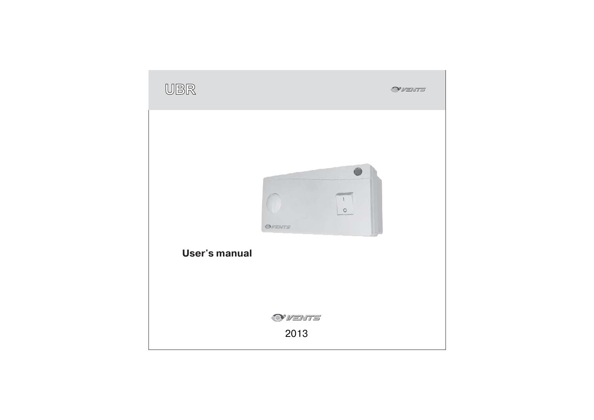





# **User's manual**



2013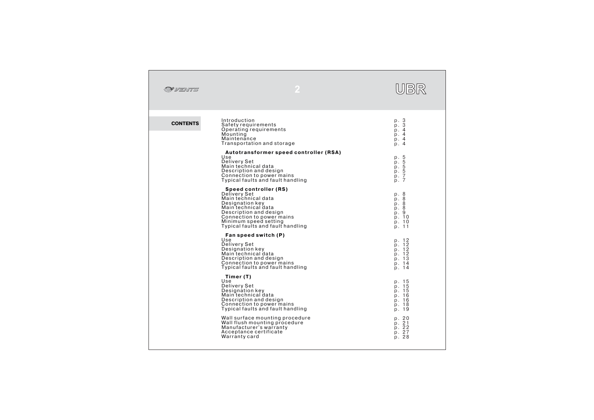



# **CONTENTS**

Introduction

| Introduction<br>Safety requirements<br>Operating requirements<br>Mounting<br>Maintenance<br>Transportation and storage                                                                                                      |    | p. 3<br>p. 3<br>p. 4<br>p. 4<br>p. 4<br>p. 4                    |
|-----------------------------------------------------------------------------------------------------------------------------------------------------------------------------------------------------------------------------|----|-----------------------------------------------------------------|
| Autotransformer speed controller (RSA)<br>Use<br>Delivery Set<br>Main technical data<br>Description and design<br>Connection to power mains<br>Typical faults and fault handling                                            |    | p. 5<br>p. 5<br>p. 5<br>p. 5<br>p. 7<br>p. 7                    |
| Speed controller (RS)<br>Delivery Set<br>Main technical data<br>Designation key<br>Main technical data<br>Description and design<br>Connection to power mains<br>Minimum speed setting<br>Typical faults and fault handling |    | p. 8<br>p. 8<br>p. 8<br>p. 8<br>p. 9<br>p. 10<br>p. 10<br>p. 11 |
| Fan speed switch (P)<br>Use<br>Delivery Set<br>Designation key<br>Main technical data<br>Description and design<br>Connection to power mains<br>Typical faults and fault handling                                           | р. | 12<br>p. 12<br>p. 12<br>p. 12<br>p. 13<br>p. 14<br>p. 14        |
| Timer (T)<br>Use<br>Delivery Set<br>Designation key<br>Main technical data<br>Description and design<br>Connection to power mains<br>Typical faults and fault handling                                                      | р. | p. 15<br>p. 15<br>p. 15<br>p. 16<br>p. 16<br>p. 18<br>19        |
| Wall surface mounting procedure<br>Wall flush mounting procedure<br>Manufacturer's warranty<br>Acceptance certificate<br>Warranty card                                                                                      |    | p. 20<br>p. 21<br>p. 22<br>p. 27<br>p. 28                       |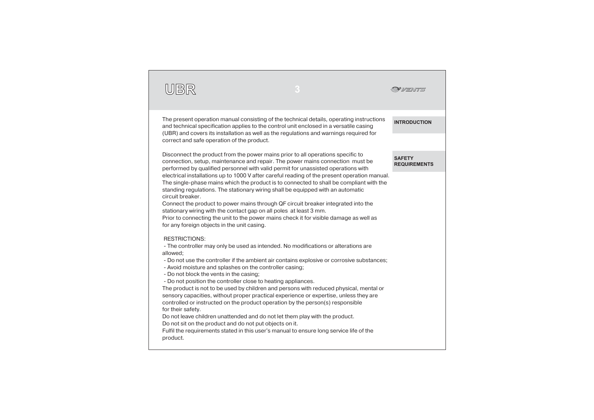

 The present operation manual consisting of the technical details, operating instructions and technical specification applies to the control unit enclosed in a versatile casing (UBR) and covers its installation as well as the regulations and warnings required for correct and safe operation of the product.

Disconnect the product from the power mains prior to all operations specific to connection, setup, maintenance and repair. The power mains connection must be performed by qualified personnel with valid permit for unassisted operations with electrical installations up to 1000 V after careful reading of the present operation manual. The single-phase mains which the product is to connected to shall be compliant with the standing regulations. The stationary wiring shall be equipped with an automatic circuit breaker.

Connect the product to power mains through QF circuit breaker integrated into the stationary wiring with the contact gap on all poles at least 3 mm.

Prior to connecting the unit to the power mains check it for visible damage as well as for any foreign objects in the unit casing.

# RESTRICTIONS:

 The controller may only be used as intended. No modifications or alterations are allowed;

- Do not use the controller if the ambient air contains explosive or corrosive substances;
- Avoid moisture and splashes on the controller casing;
- Do not block the vents in the casing;
- Do not position the controller close to heating appliances.

The product is not to be used by children and persons with reduced physical, mental or sensory capacities, without proper practical experience or expertise, unless they are controlled or instructed on the product operation by the person(s) responsible for their safety.

Do not leave children unattended and do not let them play with the product.

Do not sit on the product and do not put objects on it.

Fulfil the requirements stated in this user's manual to ensure long service life of the product.



#### **INTRODUCTION**

# **SAFETYREQUIREMENTS**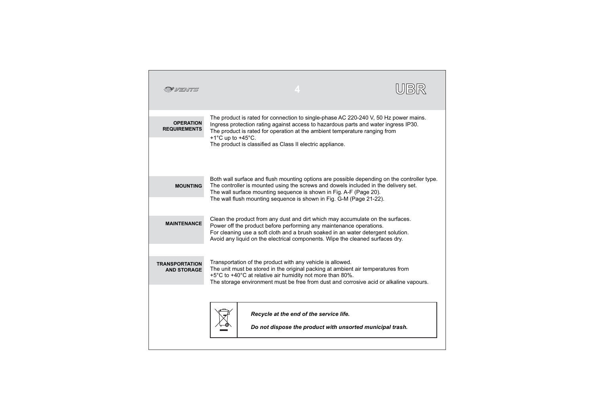



#### **OPERATIONREQUIREMENTS**

The product is rated for connection to single-phase AC 220-240 V, 50 Hz power mains. Ingress protection rating against access to hazardous parts and water ingress IP30. The product is rated for operation at the ambient temperature ranging from +1°C up to +45°C. The product is classified as Class II electric appliance.

# **MOUNTING**

Both wall surface and flush mounting options are possible depending on the controller type. The controller is mounted using the screws and dowels included in the delivery set. The wall surface mounting sequence is shown in Fig. A-F (Page 20). The wall flush mounting sequence is shown in Fig. G-M (Page 21-22).

#### **MAINTENANCE**

Clean the product from any dust and dirt which may accumulate on the surfaces. Power off the product before performing any maintenance operations. For cleaning use a soft cloth and a brush soaked in an water detergent solution. Avoid any liquid on the electrical components. Wipe the cleaned surfaces dry.

#### **TRANSPORTATIONAND STORAGE**

Transportation of the product with any vehicle is allowed. The unit must be stored in the original packing at ambient air temperatures from  $+5^{\circ}$ C to  $+40^{\circ}$ C at relative air humidity not more than 80%. The storage environment must be free from dust and corrosive acid or alkaline vapours.



*Recycle at the end of the service life.*

*Do not dispose the product with unsorted municipal trash.*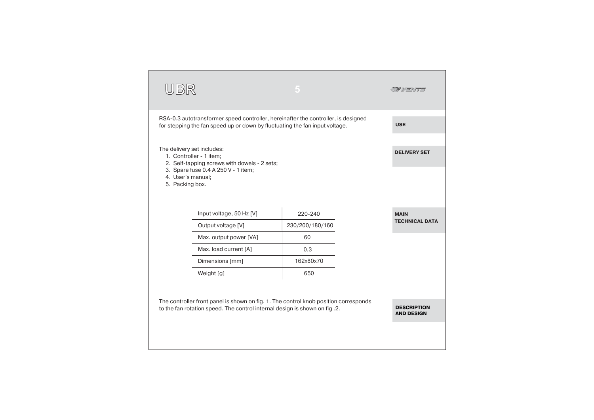|--|

RSA-0.3 autotransformer speed controller, hereinafter the controller, is designed for stepping the fan speed up or down by fluctuating the fan input voltage.

The delivery set includes:

- 1. Controller 1 item:
- 2. Self-tapping screws with dowels 2 sets;
- 3. Spare fuse 0.4 A 250 V 1 item;
- 4. User's manual;
- 5. Packing box.

| Input voltage, 50 Hz [V] | 220-240         |
|--------------------------|-----------------|
| Output voltage [V]       | 230/200/180/160 |
| Max. output power [VA]   | 60              |
| Max. load current [A]    | 0.3             |
| Dimensions [mm]          | 162x80x70       |
| Weight [g]               | 650             |

The controller front panel is shown on fig. 1. The control knob position corresponds to the fan rotation speed. The control internal design is shown on fig .2.

# **MAINTECHNICAL DATA**

**USE**

**DELIVERY SET**

**DESCRIPTIONAND DESIGN**

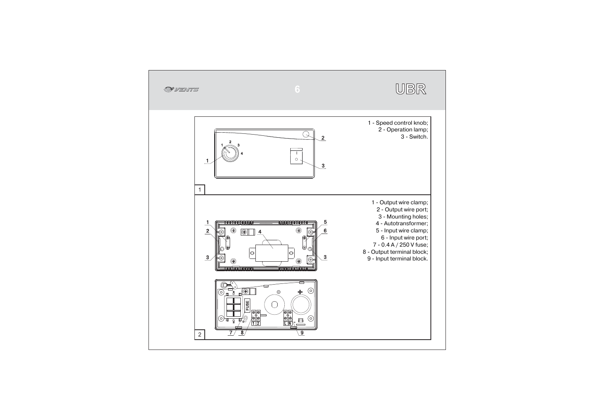



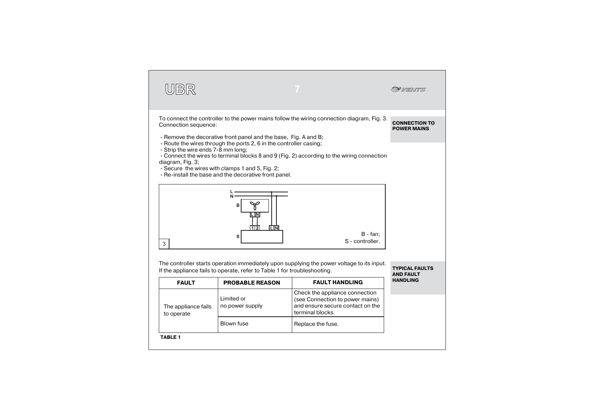3

# - Remove the decorative front panel and the base, Fig. A and B; Route the wires through the ports 2, 6 in the controller casing;

 $-$  Strip the wire ends  $7-\overline{8}$  mm long:

Connection sequence:

**UBR**

 Connect the wires to terminal blocks 8 and 9 (Fig. 2) according to the wiring connection diagram, Fig. 3;

To connect the controller to the power mains follow the wiring connection diagram, Fig. 3.

- Secure the wires with clamps 1 and 5, Fig. 2;
- Re-install the base and the decorative front panel.

LN

В

<u>L IN</u>

Ŕ

गिंग



**ILIN** 

 $S$   $S$  - controller.

| <b>FAULT</b>                      | <b>PROBABLE REASON</b>        | <b>FAULT HANDLING</b>                                                                                                     | <b>HANDLIN</b> |
|-----------------------------------|-------------------------------|---------------------------------------------------------------------------------------------------------------------------|----------------|
| The appliance fails<br>to operate | Limited or<br>no power supply | Check the appliance connection<br>(see Connection to power mains)<br>and ensure secure contact on the<br>terminal blocks. |                |
|                                   | <b>Blown fuse</b>             | Replace the fuse.                                                                                                         |                |

# **CONNECTION TOPOWER MAINS**



B - fan:



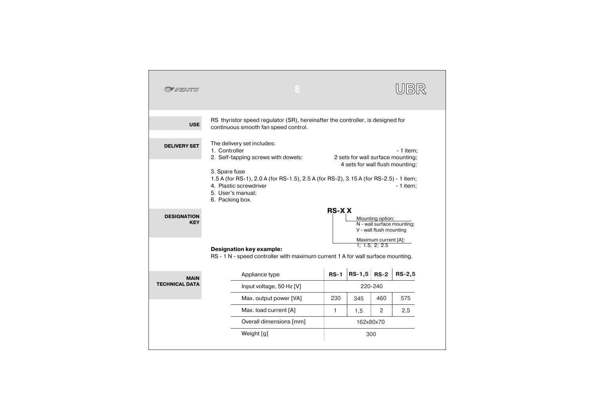



162х80х70 300

| <b>USE</b>                           | RS thyristor speed regulator (SR), hereinafter the controller, is designed for<br>continuous smooth fan speed control. |                                                                                                                                                                                                                              |              |            |                                                                                       |                                                                                                |
|--------------------------------------|------------------------------------------------------------------------------------------------------------------------|------------------------------------------------------------------------------------------------------------------------------------------------------------------------------------------------------------------------------|--------------|------------|---------------------------------------------------------------------------------------|------------------------------------------------------------------------------------------------|
| <b>DELIVERY SET</b>                  | 1. Controller<br>3. Spare fuse                                                                                         | The delivery set includes:<br>2. Self-tapping screws with dowels:<br>1.5 A (for RS-1), 2.0 A (for RS-1.5), 2.5 A (for RS-2), 3.15 A (for RS-2.5) - 1 item;<br>4. Plastic screwdriver<br>5. User's manual;<br>6. Packing box. |              |            |                                                                                       | - 1 item:<br>2 sets for wall surface mounting;<br>4 sets for wall flush mounting;<br>- 1 item: |
| <b>DESIGNATION</b><br><b>KEY</b>     |                                                                                                                        | <b>Designation key example:</b><br>RS - 1 N - speed controller with maximum current 1 A for wall surface mounting.                                                                                                           | <b>RS-XX</b> |            | Mounting option:<br>V - wall flush mounting<br>Maximum current [A]:<br>1; 1.5; 2; 2.5 | N - wall surface mounting;                                                                     |
| <b>MAIN</b><br><b>TECHNICAL DATA</b> |                                                                                                                        | Appliance type<br>Input voltage, 50 Hz [V]                                                                                                                                                                                   | $RS-1$       | $RS-1,5$   | $RS-2$<br>220-240                                                                     | $RS-2.5$                                                                                       |
|                                      |                                                                                                                        | Max. output power [VA]<br>Max. load current [A]                                                                                                                                                                              | 230<br>1     | 345<br>1,5 | 460<br>2                                                                              | 575<br>2,5                                                                                     |

Overall dimensions [mm]

Weight [g]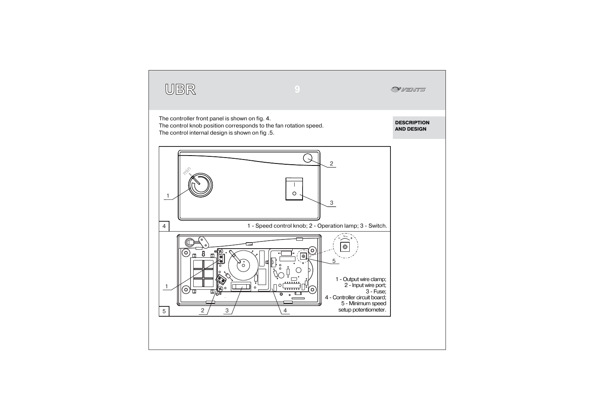

The controller front panel is shown on fig. 4. The control knob position corresponds to the fan rotation speed. The control internal design is shown on fig .5.





**9**

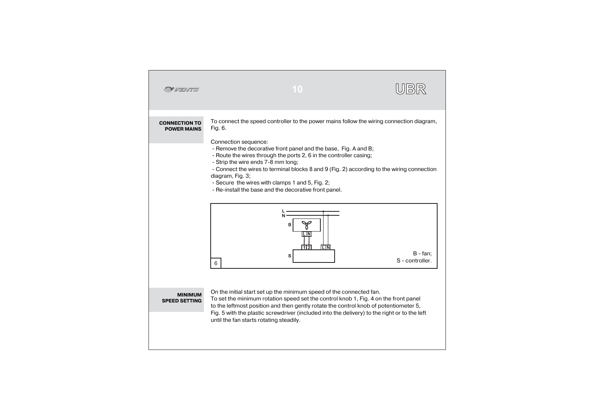



#### **CONNECTION TOPOWER MAINS**

To connect the speed controller to the power mains follow the wiring connection diagram, Fig. 6.

Connection sequence:

- Remove the decorative front panel and the base, Fig. A and B;
- Route the wires through the ports 2, 6 in the controller casing;
- Strip the wire ends 7-8 mm long;

 Connect the wires to terminal blocks 8 and 9 (Fig. 2) according to the wiring connection diagram, Fig. 3;

- Secure the wires with clamps 1 and 5, Fig. 2;
- Re-install the base and the decorative front panel.



**MINIMUMSPEED SETTING** On the initial start set up the minimum speed of the connected fan. To set the minimum rotation speed set the control knob 1, Fig. 4 on the front panel to the leftmost position and then gently rotate the control knob of potentiometer 5, Fig. 5 with the plastic screwdriver (included into the delivery) to the right or to the left until the fan starts rotating steadily.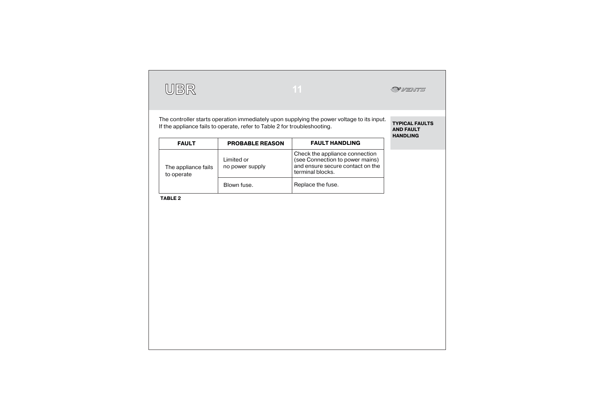|--|--|--|--|



The controller starts operation immediately upon supplying the power voltage to its input. If the appliance fails to operate, refer to Table 2 for troubleshooting.

#### **TYPICAL FAULTSAND FAULTHANDLING**

| <b>FAULT</b>                      | <b>PROBABLE REASON</b>        | <b>FAULT HANDLING</b>                                                                                                     |
|-----------------------------------|-------------------------------|---------------------------------------------------------------------------------------------------------------------------|
| The appliance fails<br>to operate | Limited or<br>no power supply | Check the appliance connection<br>(see Connection to power mains)<br>and ensure secure contact on the<br>terminal blocks. |
|                                   | Blown fuse.                   | Replace the fuse.                                                                                                         |

**TABLE 2**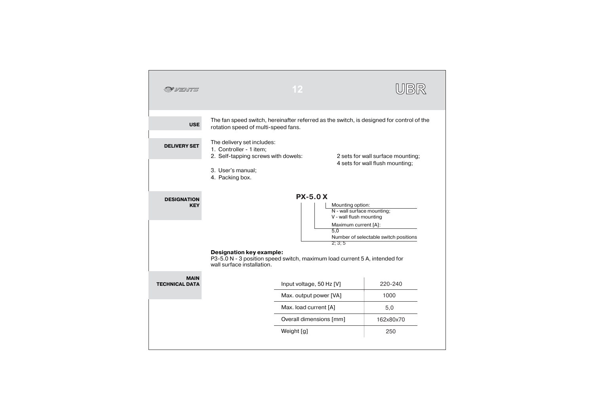

**DELIVERY SET**

**USE**



rotation speed of multi-speed fans. The delivery set includes:

- 1. Controller 1 item:
- 2. Self-tapping screws with dowels: 2 sets for wall surface mounting;
	- 4 sets for wall flush mounting;

- 3. User's manual;
- 4. Packing box.

**DESIGNATIONKEY**



The fan speed switch, hereinafter referred as the switch, is designed for control of the

| Mounting option:                      |
|---------------------------------------|
| N - wall surface mounting:            |
| V - wall flush mounting               |
| Maximum current [A]:                  |
| 5.0                                   |
| Number of selectable switch positions |
|                                       |

#### **Designation key example:**

P3-5.0 N - 3 position speed switch, maximum load current 5 A, intended for wall surface installation.

| <b>MAIN</b><br><b>TECHNICAL DATA</b> | Input voltage, 50 Hz [V] |                         | 220-240   |
|--------------------------------------|--------------------------|-------------------------|-----------|
|                                      |                          | Max. output power [VA]  | 1000      |
|                                      |                          | Max. load current [A]   | 5,0       |
|                                      |                          | Overall dimensions [mm] | 162x80x70 |
|                                      |                          | Weight [g]              | 250       |
|                                      |                          |                         |           |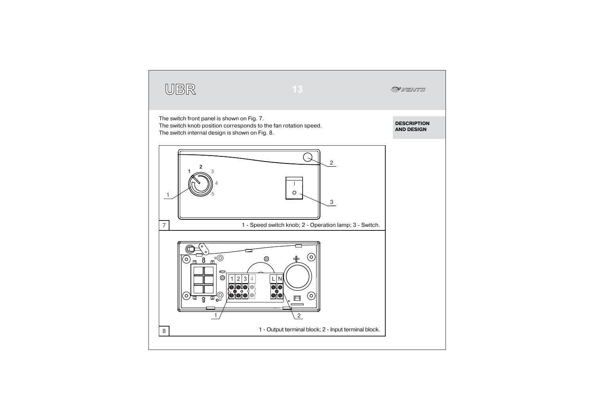



The switch front panel is shown on Fig. 7.

The switch knob position corresponds to the fan rotation speed. The switch internal design is shown on Fig. 8.



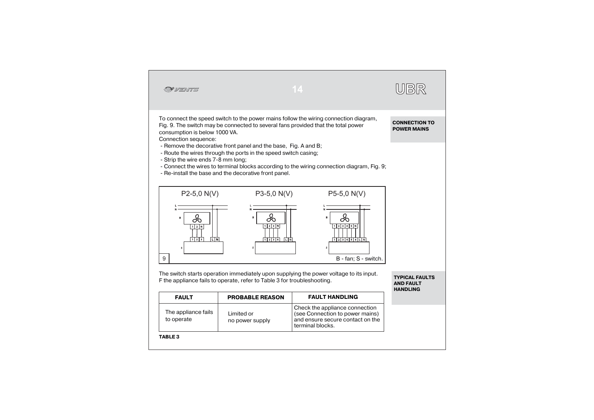#### **TYPICAL FAULTSAND FAULTHANDLING**



**FAULT HANDLING**

terminal blocks.

Check the appliance connection (see Connection to power mains) and ensure secure contact on the

The appliance fails to operate



Connection sequence:

- Remove the decorative front panel and the base, Fig. A and B;
- Route the wires through the ports in the speed switch casing;
- Strip the wire ends 7-8 mm long;
- Connect the wires to terminal blocks according to the wiring connection diagram, Fig. 9;
- Re-install the base and the decorative front panel.

**FAULT PROBABLE REASON**

Limited orno power supply

F the appliance fails to operate, refer to Table 3 for troubleshooting.



The switch starts operation immediately upon supplying the power voltage to its input.



**POWER MAINS**

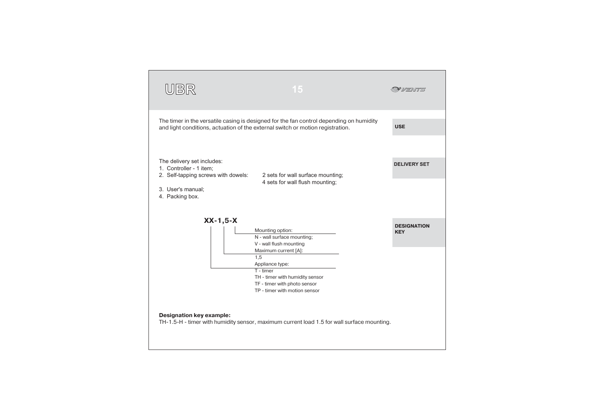

The timer in the versatile casing is designed for the fan control depending on humidity and light conditions, actuation of the external switch or motion registration.

The delivery set includes:

- 1. Controller 1 item;
- 2. Self-tapping screws with dowels: 2 sets for wall surface mounting;
	- 4 sets for wall flush mounting;
- 3. User's manual;
- 4. Packing box.



# **Designation key example:**

TH-1.5-H - timer with humidity sensor, maximum current load 1.5 for wall surface mounting.



**USE**

**DELIVERY SET**

**DESIGNATIONKEY**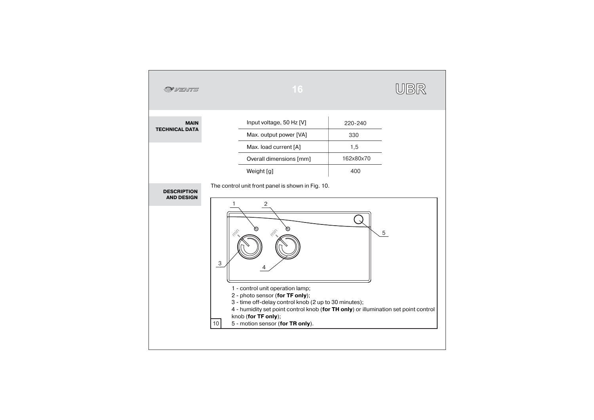

**TECHNICAL D** 



| MAIN<br>DATA | Input voltage, 50 Hz [V] | 220-240   |
|--------------|--------------------------|-----------|
|              | Max. output power [VA]   | 330       |
|              | Max. load current [A]    | 1,5       |
|              | Overall dimensions [mm]  | 162x80x70 |
|              | Weight [g]               | 400       |
|              |                          |           |

The control unit front panel is shown in Fig. 10.

**DESCRIPTIONAND DESIGN**

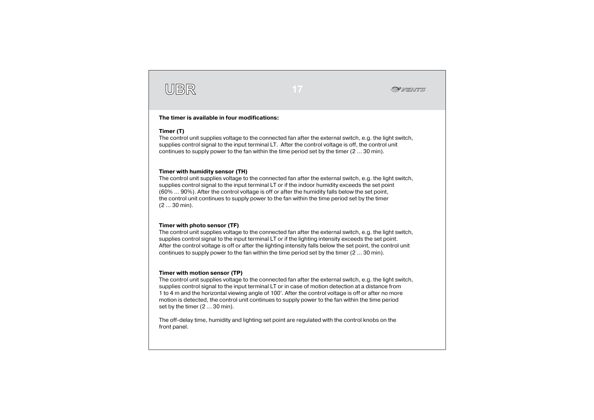



#### **The timer is available in four modifications:**

# **Timer (T)**

The control unit supplies voltage to the connected fan after the external switch, e.g. the light switch, supplies control signal to the input terminal LT. After the control voltage is off, the control unit continues to supply power to the fan within the time period set by the timer  $(2 \dots 30 \text{ min})$ .

# **Timer with humidity sensor (TH)**

The control unit supplies voltage to the connected fan after the external switch, e.g. the light switch, supplies control signal to the input terminal LT or if the indoor humidity exceeds the set point (60% ... 90%). After the control voltage is off or after the humidity falls below the set point, the control unit continues to supply power to the fan within the time period set by the timer  $(2...30$  min).

# **Timer with photo sensor (TF)**

The control unit supplies voltage to the connected fan after the external switch, e.g. the light switch, supplies control signal to the input terminal LT or if the lighting intensity exceeds the set point. After the control voltage is off or after the lighting intensity falls below the set point, the control unit continues to supply power to the fan within the time period set by the timer  $(2 \dots 30 \text{ min})$ .

# **Timer with motion sensor (TP)**

The control unit supplies voltage to the connected fan after the external switch, e.g. the light switch, supplies control signal to the input terminal LT or in case of motion detection at a distance from 1 to 4 m and the horizontal viewing angle of 100°. After the control voltage is off or after no more motion is detected, the control unit continues to supply power to the fan within the time period set by the timer  $(2 \dots 30 \text{ min}).$ 

The off-delay time, humidity and lighting set point are regulated with the control knobs on the front panel.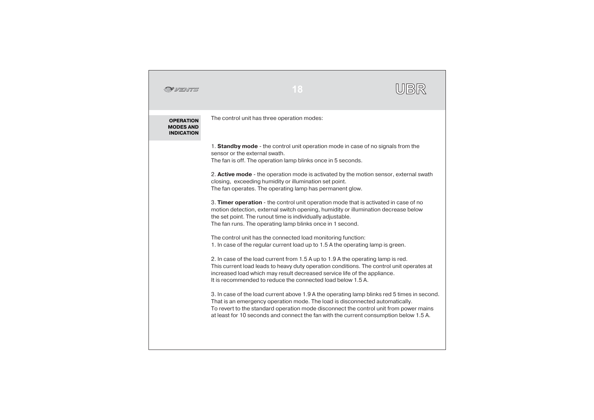



#### **OPERATIONMODES ANDINDICATION**

The control unit has three operation modes:

1. **Standby mode** - the control unit operation mode in case of no signals from the sensor or the external swath.

The fan is off. The operation lamp blinks once in 5 seconds.

2. **Active mode** - the operation mode is activated by the motion sensor, external swath closing, exceeding humidity or illumination set point. The fan operates. The operating lamp has permanent glow.

3. **Timer operation** - the control unit operation mode that is activated in case of no motion detection, external switch opening, humidity or illumination decrease below the set point. The runout time is individually adjustable. The fan runs. The operating lamp blinks once in 1 second.

The control unit has the connected load monitoring function: 1. In case of the regular current load up to 1.5 A the operating lamp is green.

2. In case of the load current from 1.5 A up to 1.9 A the operating lamp is red. This current load leads to heavy duty operation conditions. The control unit operates at increased load which may result decreased service life of the appliance. It is recommended to reduce the connected load below 1.5 A.

3. In case of the load current above 1.9 A the operating lamp blinks red 5 times in second. That is an emergency operation mode. The load is disconnected automatically. To revert to the standard operation mode disconnect the control unit from power mains at least for 10 seconds and connect the fan with the current consumption below 1.5 A.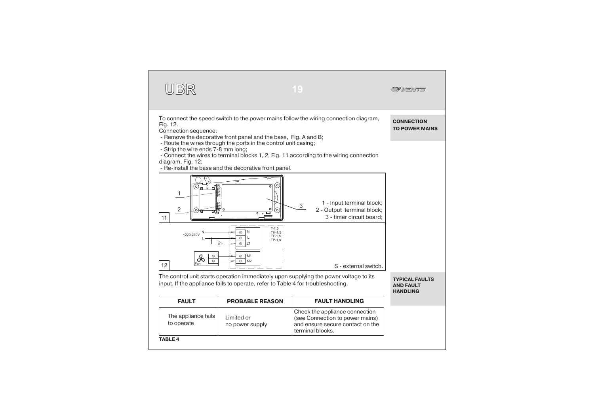12

11

1

2

#### To connect the speed switch to the power mains follow the wiring connection diagram, Fig. 12.

Connection sequence:

**UBR**

- Remove the decorative front panel and the base, Fig. A and B;
- Route the wires through the ports in the control unit casing;
- Strip the wire ends 7-8 mm long:

NL~220-240V

Fan

௸  $\circledcirc$  $\overline{\circ}$ 

- Connect the wires to terminal blocks 1, 2, Fig. 11 according to the wiring connection diagram, Fig. 12;
- Re-install the base and the decorative front panel.



T-1,5 TH-1,5 TF-1,5 TP-1,5 3

M1M2

NL

ø ø

 $\overline{\circ}$ 

 $\overline{\mathcal{O}}$ 

sे──<del>r </del>⊘∣∟т

| <b>FAULT</b>                      | <b>PROBABLE REASON</b>        | <b>FAULT HANDLING</b>                                                                                                     |
|-----------------------------------|-------------------------------|---------------------------------------------------------------------------------------------------------------------------|
| The appliance fails<br>to operate | Limited or<br>no power supply | Check the appliance connection<br>(see Connection to power mains)<br>and ensure secure contact on the<br>terminal blocks. |

 $\mathcal{V}/\mathcal{V}/\mathcal{V}$ 



**TYPICAL FAULTSAND FAULTHANDLING**

S - external switch.

1 - Input terminal block: 2 - Output terminal block; 3 - timer circuit board:

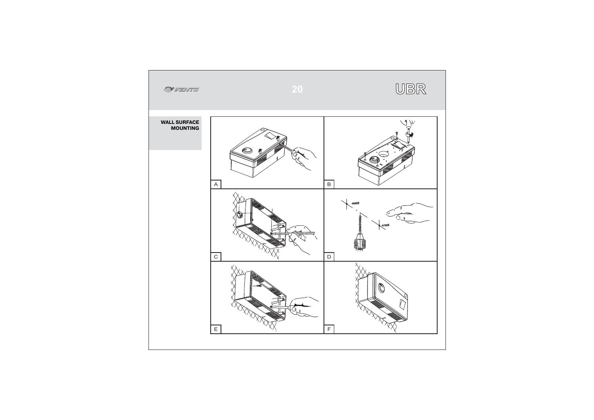



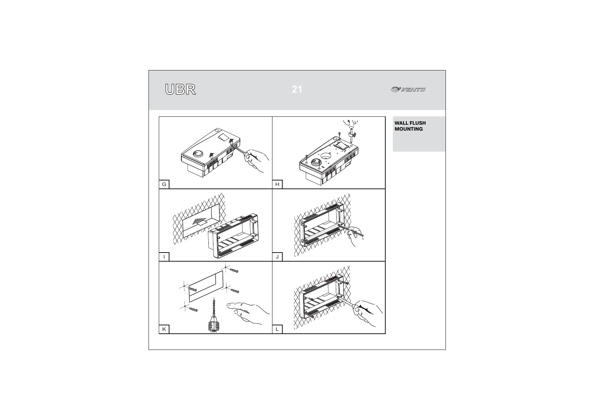



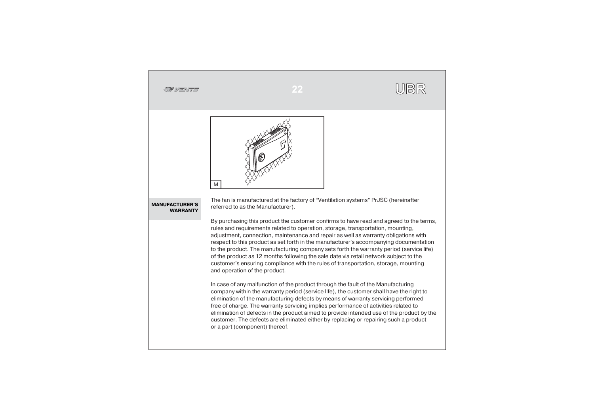





#### **MANUFACTURER'SWARRANTY**

The fan is manufactured at the factory of "Ventilation systems" PrJSC (hereinafter referred to as the Manufacturer).

By purchasing this product the customer confirms to have read and agreed to the terms, rules and requirements related to operation, storage, transportation, mounting, adjustment, connection, maintenance and repair as well as warranty obligations with respect to this product as set forth in the manufacturer's accompanying documentation to the product. The manufacturing company sets forth the warranty period (service life) of the product as 12 months following the sale date via retail network subject to the customer's ensuring compliance with the rules of transportation, storage, mounting and operation of the product.

In case of any malfunction of the product through the fault of the Manufacturing company within the warranty period (service life), the customer shall have the right to elimination of the manufacturing defects by means of warranty servicing performed free of charge. The warranty servicing implies performance of activities related to elimination of defects in the product aimed to provide intended use of the product by the customer. The defects are eliminated either by replacing or repairing such a product or a part (component) thereof.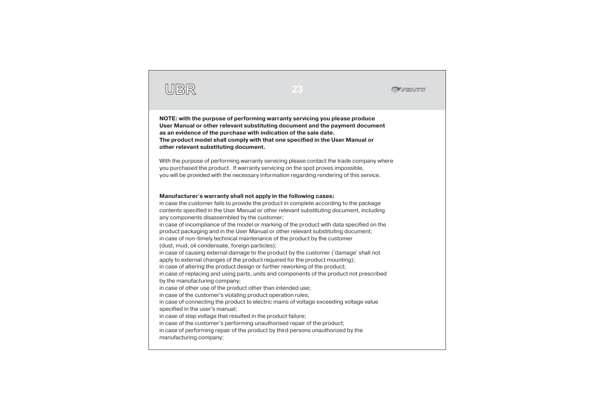



**NOTE: with the purpose of performing warranty servicing you please produce User Manual or other relevant substituting document and the payment document as an evidence of the purchase with indication of the sale date. The product model shall comply with that one specified in the User Manual or other relevant substituting document.**

With the purpose of performing warranty servicing please contact the trade company where you purchased the product. If warranty servicing on the spot proves impossible, you will be provided with the necessary information regarding rendering of this service.

# **Manufacturer's warranty shall not apply in the following cases:**

in case the customer fails to provide the product in complete according to the package contents specified in the User Manual or other relevant substituting document, including any components disassembled by the customer;

in case of incompliance of the model or marking of the product with data specified on the product packaging and in the User Manual or other relevant substituting document;

in case of non-timely technical maintenance of the product by the customer

(dust, mud, oil condensate, foreign particles);

in case of causing external damage to the product by the customer ('damage' shall not apply to external changes of the product required for the product mounting);

in case of altering the product design or further reworking of the product;

in case of replacing and using parts, units and components of the product not prescribed by the manufacturing company;

in case of other use of the product other than intended use;

in case of the customer's violating product operation rules;

in case of connecting the product to electric mains of voltage exceeding voltage value specified in the user's manual;

in case of step voltage that resulted in the product failure;

in case of the customer's performing unauthorised repair of the product;

in case of performing repair of the product by third persons unauthorized by the manufacturing company;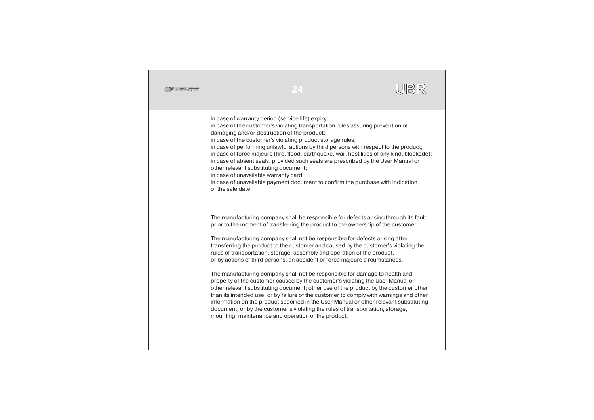



in case of warranty period (service life) expiry;

in case of the customer's violating transportation rules assuring prevention of damaging and/or destruction of the product;

in case of the customer's violating product storage rules;

in case of performing unlawful actions by third persons with respect to the product; in case of force majeure (fire, flood, earthquake, war, hostilities of any kind, blockade); in case of absent seals, provided such seals are prescribed by the User Manual or other relevant substituting document;

in case of unavailable warranty card;

in case of unavailable payment document to confirm the purchase with indication of the sale date.

The manufacturing company shall be responsible for defects arising through its fault prior to the moment of transferring the product to the ownership of the customer.

The manufacturing company shall not be responsible for defects arising after transferring the product to the customer and caused by the customer's violating the rules of transportation, storage, assembly and operation of the product, or by actions of third persons, an accident or force majeure circumstances.

The manufacturing company shall not be responsible for damage to health and property of the customer caused by the customer's violating the User Manual or other relevant substituting document; other use of the product by the customer other than its intended use, or by failure of the customer to comply with warnings and other information on the product specified in the User Manual or other relevant substituting document, or by the customer's violating the rules of transportation, storage, mounting, maintenance and operation of the product.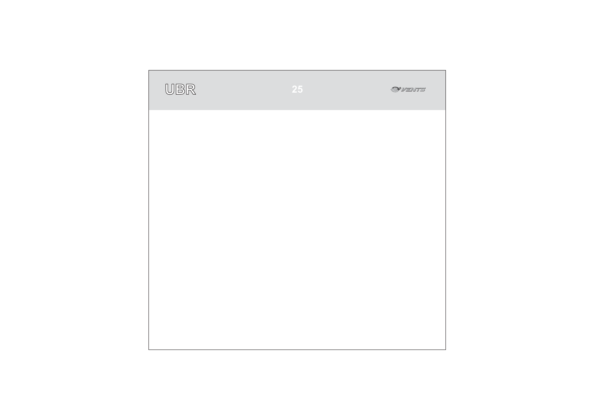

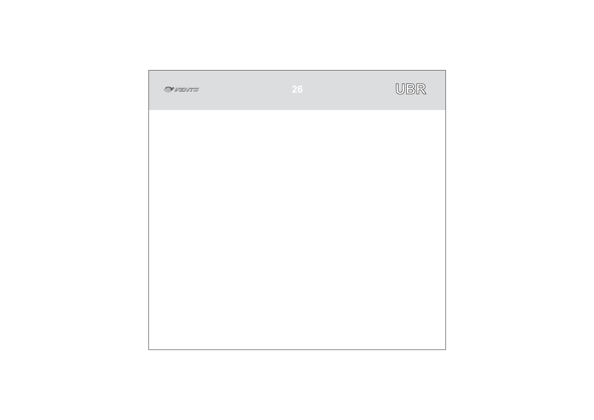

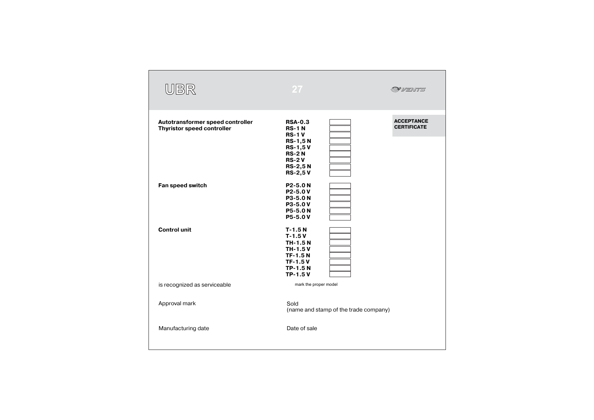|--|--|--|



| Autotransformer speed controller<br><b>Thyristor speed controller</b> | <b>RSA-0.3</b><br><b>RS-1 N</b><br><b>RS-1 V</b><br><b>RS-1,5N</b><br><b>RS-1,5V</b><br><b>RS-2N</b><br><b>RS-2V</b><br><b>RS-2,5N</b><br><b>RS-2,5 V</b> | <b>ACCEPTANCE</b><br><b>CERTIFICATE</b> |
|-----------------------------------------------------------------------|-----------------------------------------------------------------------------------------------------------------------------------------------------------|-----------------------------------------|
| Fan speed switch                                                      | P2-5.0 N<br>P2-5.0 V<br>P3-5.0 N<br>P3-5.0 V<br>P5-5.0 N<br>P5-5.0 V                                                                                      |                                         |
| <b>Control unit</b>                                                   | T-1.5N<br>$T-1.5V$<br>TH-1.5N<br>TH-1.5 V<br><b>TF-1.5N</b><br><b>TF-1.5 V</b><br>TP-1.5N<br><b>TP-1.5V</b>                                               |                                         |
| is recognized as serviceable                                          | mark the proper model                                                                                                                                     |                                         |
| Approval mark                                                         | Sold                                                                                                                                                      |                                         |

Sold(name and stamp of the trade company)

Manufacturing date

Date of sale